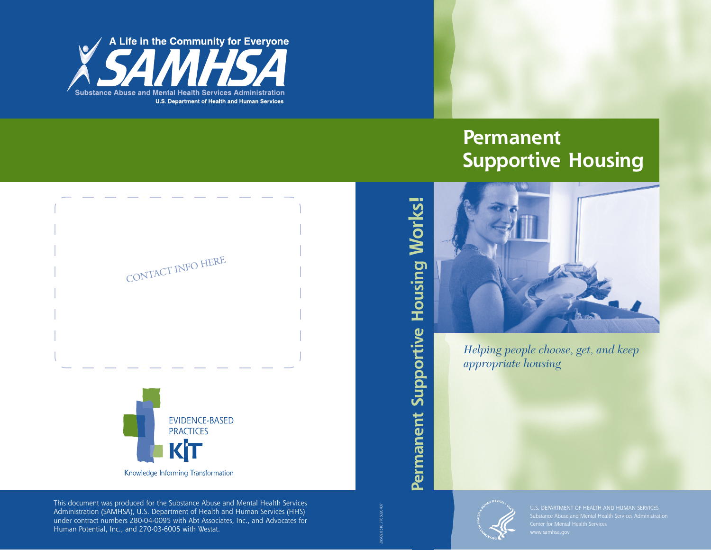

# **Permanent Supportive Housing**



*Helping people choose, get, and keep appropriate housing*



CONTACT INFO HERE

This document was produced for the Substance Abuse and Mental Health Services Administration (SAMHSA), U.S. Department of Health and Human Services (HHS) under contract numbers 280-04-0095 with Abt Associates, Inc., and Advocates for Human Potential, Inc., and 270-03-6005 with Westat.

# Permanent Supportive Housing Works! **Permanent Supportive Housing Works!**

29509.0310.7765020407



U.S. DEPARTMENT OF HEALTH AND HUMAN SERVICES Substance Abuse and Mental Health Services Administration Center for Mental Health Services Substance Abuse and Mental Health Services Administration